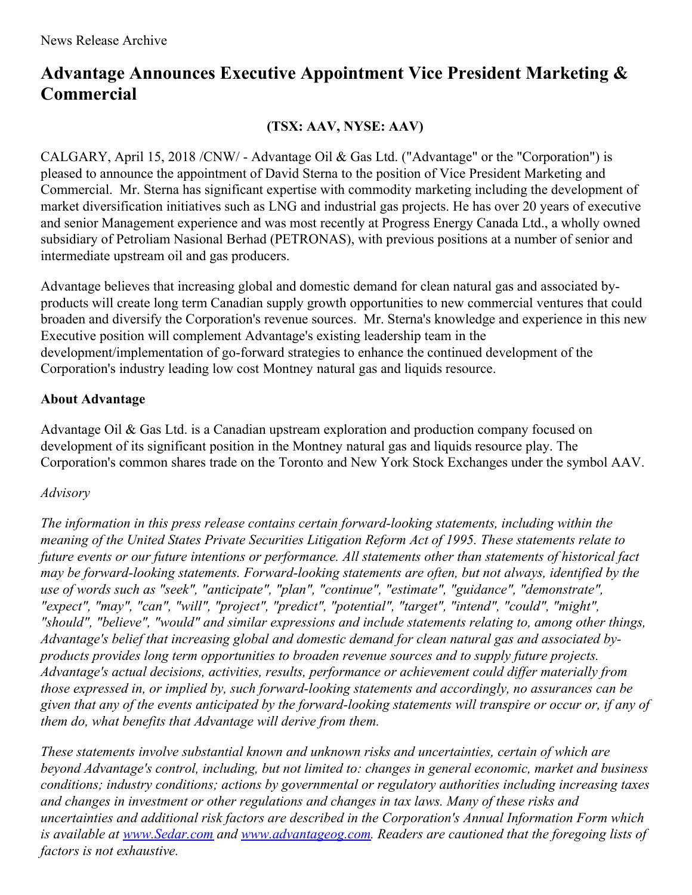## **Advantage Announces Executive Appointment Vice President Marketing & Commercial**

**(TSX: AAV, NYSE: AAV)**

CALGARY, April 15, 2018 /CNW/ - Advantage Oil & Gas Ltd. ("Advantage" or the "Corporation") is pleased to announce the appointment of David Sterna to the position of Vice President Marketing and Commercial. Mr. Sterna has significant expertise with commodity marketing including the development of market diversification initiatives such as LNG and industrial gas projects. He has over 20 years of executive and senior Management experience and was most recently at Progress Energy Canada Ltd., a wholly owned subsidiary of Petroliam Nasional Berhad (PETRONAS), with previous positions at a number of senior and intermediate upstream oil and gas producers.

Advantage believes that increasing global and domestic demand for clean natural gas and associated byproducts will create long term Canadian supply growth opportunities to new commercial ventures that could broaden and diversify the Corporation's revenue sources. Mr. Sterna's knowledge and experience in this new Executive position will complement Advantage's existing leadership team in the development/implementation of go-forward strategies to enhance the continued development of the Corporation's industry leading low cost Montney natural gas and liquids resource.

## **About Advantage**

Advantage Oil & Gas Ltd. is a Canadian upstream exploration and production company focused on development of its significant position in the Montney natural gas and liquids resource play. The Corporation's common shares trade on the Toronto and New York Stock Exchanges under the symbol AAV.

## *Advisory*

*The information in this press release contains certain forward-looking statements, including within the meaning of the United States Private Securities Litigation Reform Act of 1995. These statements relate to future events or our future intentions or performance. All statements other than statements of historical fact may be forward-looking statements. Forward-looking statements are often, but not always, identified by the use of words such as "seek", "anticipate", "plan", "continue", "estimate", "guidance", "demonstrate", "expect", "may", "can", "will", "project", "predict", "potential", "target", "intend", "could", "might", "should", "believe", "would" and similar expressions and include statements relating to, among other things, Advantage's belief that increasing global and domestic demand for clean natural gas and associated byproducts provides long term opportunities to broaden revenue sources and to supply future projects. Advantage's actual decisions, activities, results, performance or achievement could dif er materially from those expressed in, or implied by, such forward-looking statements and accordingly, no assurances can be* given that any of the events anticipated by the forward-looking statements will transpire or occur or, if any of *them do, what benefits that Advantage will derive from them.*

*These statements involve substantial known and unknown risks and uncertainties, certain of which are beyond Advantage's control, including, but not limited to: changes in general economic, market and business conditions; industry conditions; actions by governmental or regulatory authorities including increasing taxes and changes in investment or other regulations and changes in tax laws. Many of these risks and uncertainties and additional risk factors are described in the Corporation's Annual Information Form which is available at [www.Sedar.com](http://www.sedar.com) and [www.advantageog.com](http://www.advantageog.com). Readers are cautioned that the foregoing lists of factors is not exhaustive.*